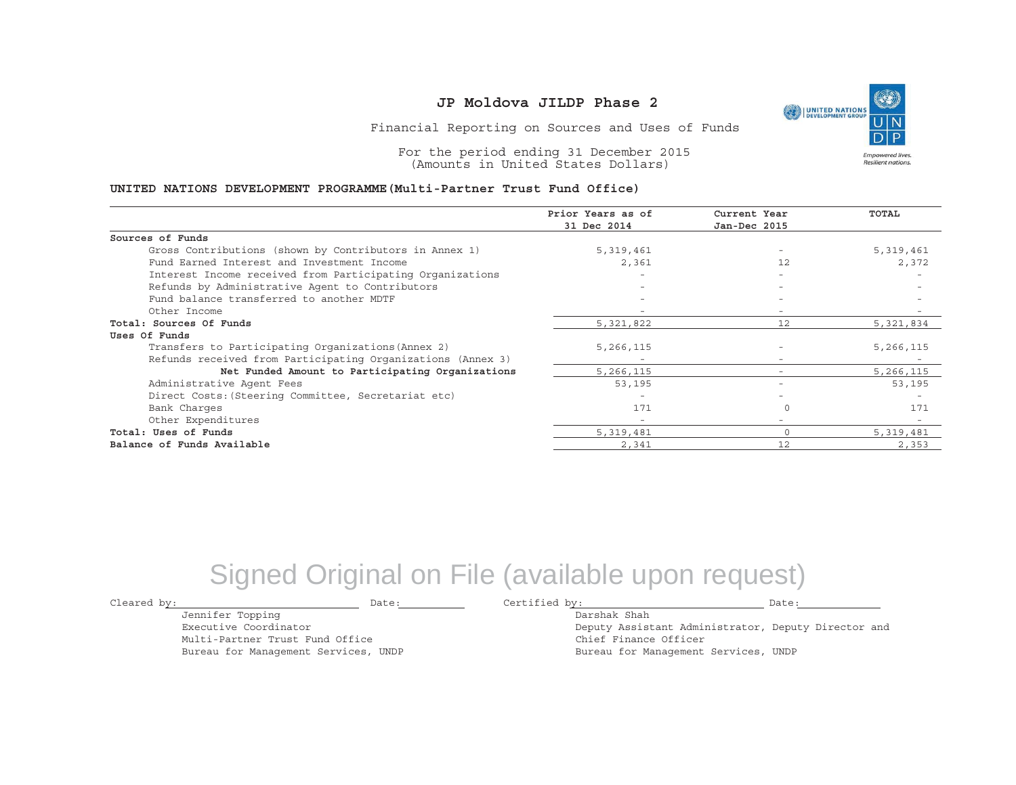UNITED NATIONS **Empowered lives** Resilient nations.

Financial Reporting on Sources and Uses of Funds

For the period ending 31 December 2015 (Amounts in United States Dollars)

#### **UNITED NATIONS DEVELOPMENT PROGRAMME(Multi-Partner Trust Fund Office)**

|                                                             | Prior Years as of | Current Year             | <b>TOTAL</b> |
|-------------------------------------------------------------|-------------------|--------------------------|--------------|
|                                                             | 31 Dec 2014       | Jan-Dec 2015             |              |
| Sources of Funds                                            |                   |                          |              |
| Gross Contributions (shown by Contributors in Annex 1)      | 5,319,461         |                          | 5,319,461    |
| Fund Earned Interest and Investment Income                  | 2,361             | 12                       | 2,372        |
| Interest Income received from Participating Organizations   |                   |                          |              |
| Refunds by Administrative Agent to Contributors             |                   | $-$                      |              |
| Fund balance transferred to another MDTF                    |                   | $\overline{\phantom{0}}$ |              |
| Other Income                                                |                   |                          |              |
| Total: Sources Of Funds                                     | 5,321,822         | 12                       | 5,321,834    |
| Uses Of Funds                                               |                   |                          |              |
| Transfers to Participating Organizations (Annex 2)          | 5,266,115         |                          | 5,266,115    |
| Refunds received from Participating Organizations (Annex 3) |                   | $\overline{\phantom{a}}$ |              |
| Net Funded Amount to Participating Organizations            | 5,266,115         |                          | 5,266,115    |
| Administrative Agent Fees                                   | 53,195            | $\overline{\phantom{a}}$ | 53,195       |
| Direct Costs: (Steering Committee, Secretariat etc)         |                   |                          |              |
| Bank Charges                                                | 171               |                          | 171          |
| Other Expenditures                                          |                   | Ξ.                       |              |
| Total: Uses of Funds                                        | 5,319,481         |                          | 5,319,481    |
| Balance of Funds Available                                  | 2,341             | 12                       | 2,353        |

## Signed Original on File (available upon request)

Cleared by: Date: Certified by: Date:

Jennifer Topping Executive Coordinator

Multi-Partner Trust Fund Office Bureau for Management Services, UNDP

Darshak ShahDeputy Assistant Administrator, Deputy Director and Chief Finance Officer Bureau for Management Services, UNDP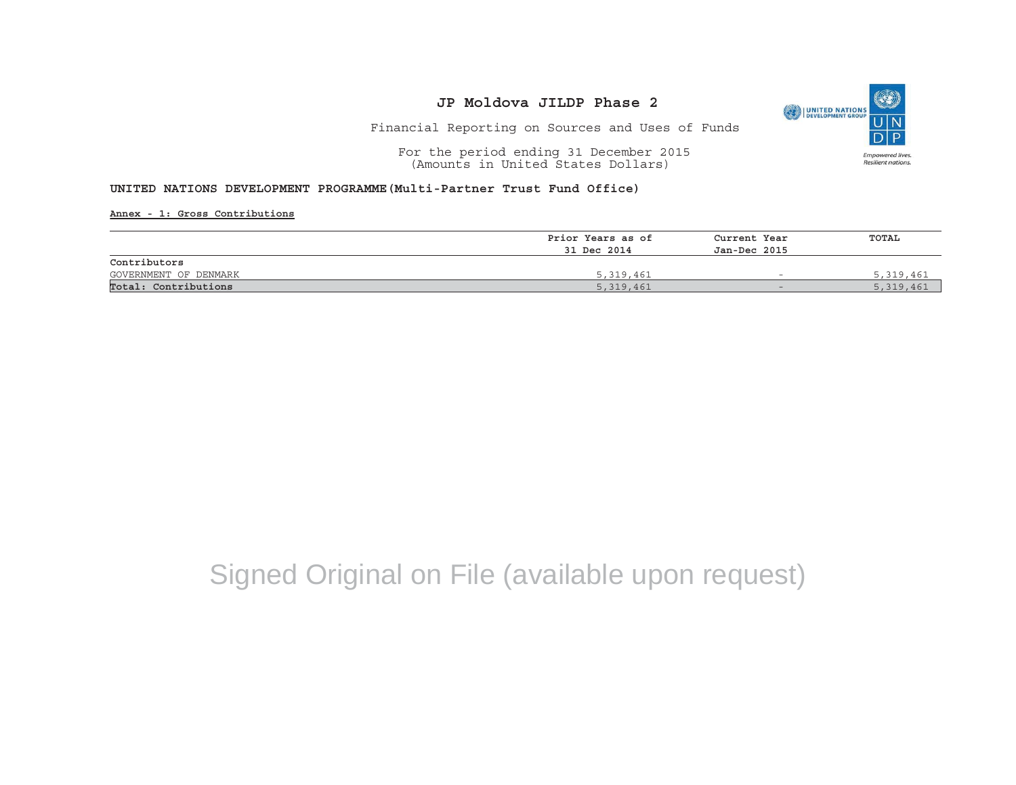

Financial Reporting on Sources and Uses of Funds

For the period ending 31 December 2015 (Amounts in United States Dollars)

#### **UNITED NATIONS DEVELOPMENT PROGRAMME(Multi-Partner Trust Fund Office)**

**Annex - 1: Gross Contributions**

|                       | Prior Years as of | Current Year<br>Jan-Dec 2015 | TOTAL     |  |
|-----------------------|-------------------|------------------------------|-----------|--|
|                       | 31 Dec 2014       |                              |           |  |
| Contributors          |                   |                              |           |  |
| GOVERNMENT OF DENMARK | 5,319,461         | $\overline{\phantom{0}}$     | 5,319,461 |  |
| Total: Contributions  | 5,319,461         | $\overline{\phantom{0}}$     | 5,319,461 |  |

# Signed Original on File (available upon request)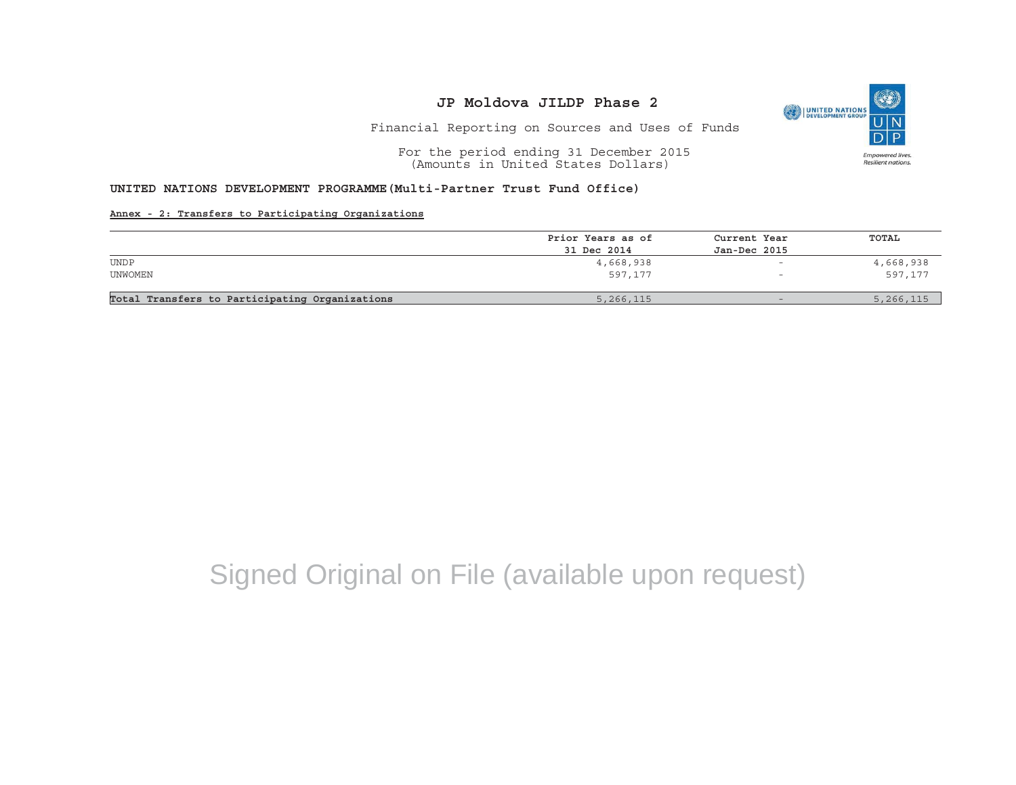

Financial Reporting on Sources and Uses of Funds

For the period ending 31 December 2015 (Amounts in United States Dollars)

#### **UNITED NATIONS DEVELOPMENT PROGRAMME(Multi-Partner Trust Fund Office)**

#### **Annex - 2: Transfers to Participating Organizations**

|                                                | Prior Years as of | Current Year             | TOTAL     |
|------------------------------------------------|-------------------|--------------------------|-----------|
|                                                | 31 Dec 2014       | Jan-Dec 2015             |           |
| <b>UNDP</b>                                    | 4,668,938         | $\overline{\phantom{0}}$ | 4,668,938 |
| UNWOMEN                                        | 597,177           | -                        | 597,177   |
|                                                |                   |                          |           |
| Total Transfers to Participating Organizations | 5,266,115         |                          | 5,266,115 |

# Signed Original on File (available upon request)